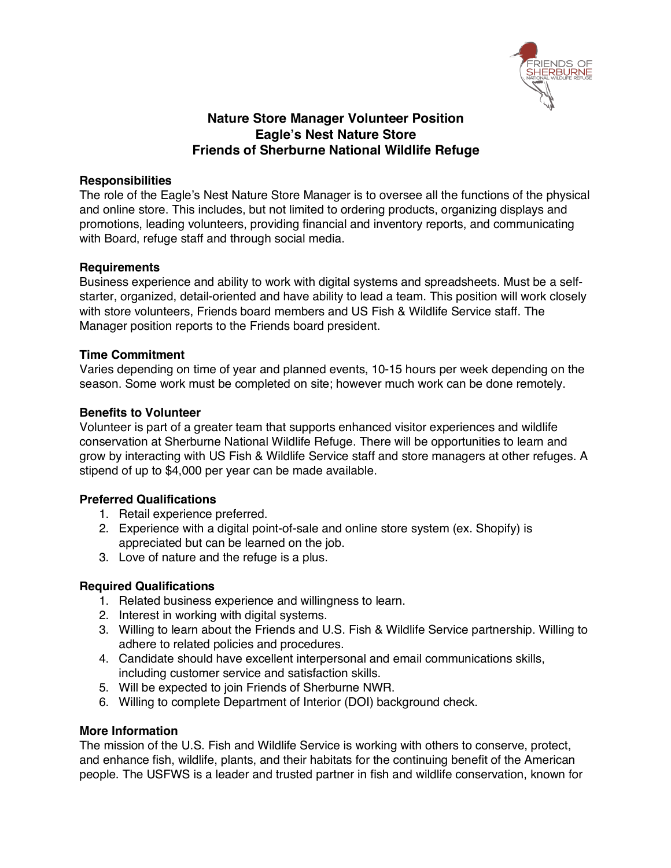

# **Nature Store Manager Volunteer Position Eagle's Nest Nature Store Friends of Sherburne National Wildlife Refuge**

### **Responsibilities**

The role of the Eagle's Nest Nature Store Manager is to oversee all the functions of the physical and online store. This includes, but not limited to ordering products, organizing displays and promotions, leading volunteers, providing financial and inventory reports, and communicating with Board, refuge staff and through social media.

#### **Requirements**

Business experience and ability to work with digital systems and spreadsheets. Must be a selfstarter, organized, detail-oriented and have ability to lead a team. This position will work closely with store volunteers, Friends board members and US Fish & Wildlife Service staff. The Manager position reports to the Friends board president.

#### **Time Commitment**

Varies depending on time of year and planned events, 10-15 hours per week depending on the season. Some work must be completed on site; however much work can be done remotely.

#### **Benefits to Volunteer**

Volunteer is part of a greater team that supports enhanced visitor experiences and wildlife conservation at Sherburne National Wildlife Refuge. There will be opportunities to learn and grow by interacting with US Fish & Wildlife Service staff and store managers at other refuges. A stipend of up to \$4,000 per year can be made available.

## **Preferred Qualifications**

- 1. Retail experience preferred.
- 2. Experience with a digital point-of-sale and online store system (ex. Shopify) is appreciated but can be learned on the job.
- 3. Love of nature and the refuge is a plus.

## **Required Qualifications**

- 1. Related business experience and willingness to learn.
- 2. Interest in working with digital systems.
- 3. Willing to learn about the Friends and U.S. Fish & Wildlife Service partnership. Willing to adhere to related policies and procedures.
- 4. Candidate should have excellent interpersonal and email communications skills, including customer service and satisfaction skills.
- 5. Will be expected to join Friends of Sherburne NWR.
- 6. Willing to complete Department of Interior (DOI) background check.

#### **More Information**

The mission of the U.S. Fish and Wildlife Service is working with others to conserve, protect, and enhance fish, wildlife, plants, and their habitats for the continuing benefit of the American people. The USFWS is a leader and trusted partner in fish and wildlife conservation, known for